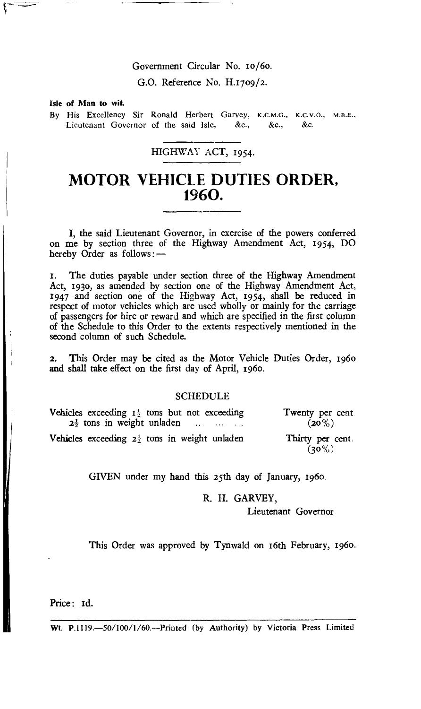## Government Circular No. 1o/6o.

G.O. Reference No. H.17o9/2.

**Isle of Man to wit.** 

By His Excellency Sir Ronald Herbert Garvey, K.C.M.G., K.C.V.O., M.B.E., Lieutenant Governor of the said Isle, &c., &c., &c.

## HIGHWAY **ACT,** 1954.

## **MOTOR VEHICLE DUTIES ORDER, 1960.**

I, the said Lieutenant Governor, in exercise of the powers conferred on me by section three of the Highway Amendment Act, 1954, DO hereby Order as follows:—

1. The duties payable under section three of the Highway Amendment Act, 193o, as amended by section one of the Highway Amendment Act, 1947 and section one of the Highway Act, 1954, shall be reduced in respect of motor vehicles which are used wholly or mainly for the carriage of passengers for hire or reward and which are specified in the first column of the Schedule to this Order to the extents respectively mentioned in the second column of such Schedule.

2. This Order may be cited as the Motor Vehicle Duties Order, 196o and shall take effect on the first day of April, 196o.

## SCHEDULE

| Vehicles exceeding $I_2^{\perp}$ tons but not exceeding<br>$2\frac{1}{2}$ tons in weight unladen | Twenty per<br>$(20\%)$   |
|--------------------------------------------------------------------------------------------------|--------------------------|
| Vehicles exceeding $2\frac{1}{2}$ tons in weight unladen                                         | Thirty per o<br>$(20\%)$ |

Twenty per cent.<br> $(20\%)$ 

Thirty per cent.  $(30\%)$ 

GIVEN under my hand this 25th day of January, 196o.

R. H. GARVEY,

Lieutenant Governor

This Order was approved by Tynwald on 16th February, 196o.

Price: Id.

Wt. P.1119.-50/100/1/60.--Printed (by Authority) by Victoria Press Limited